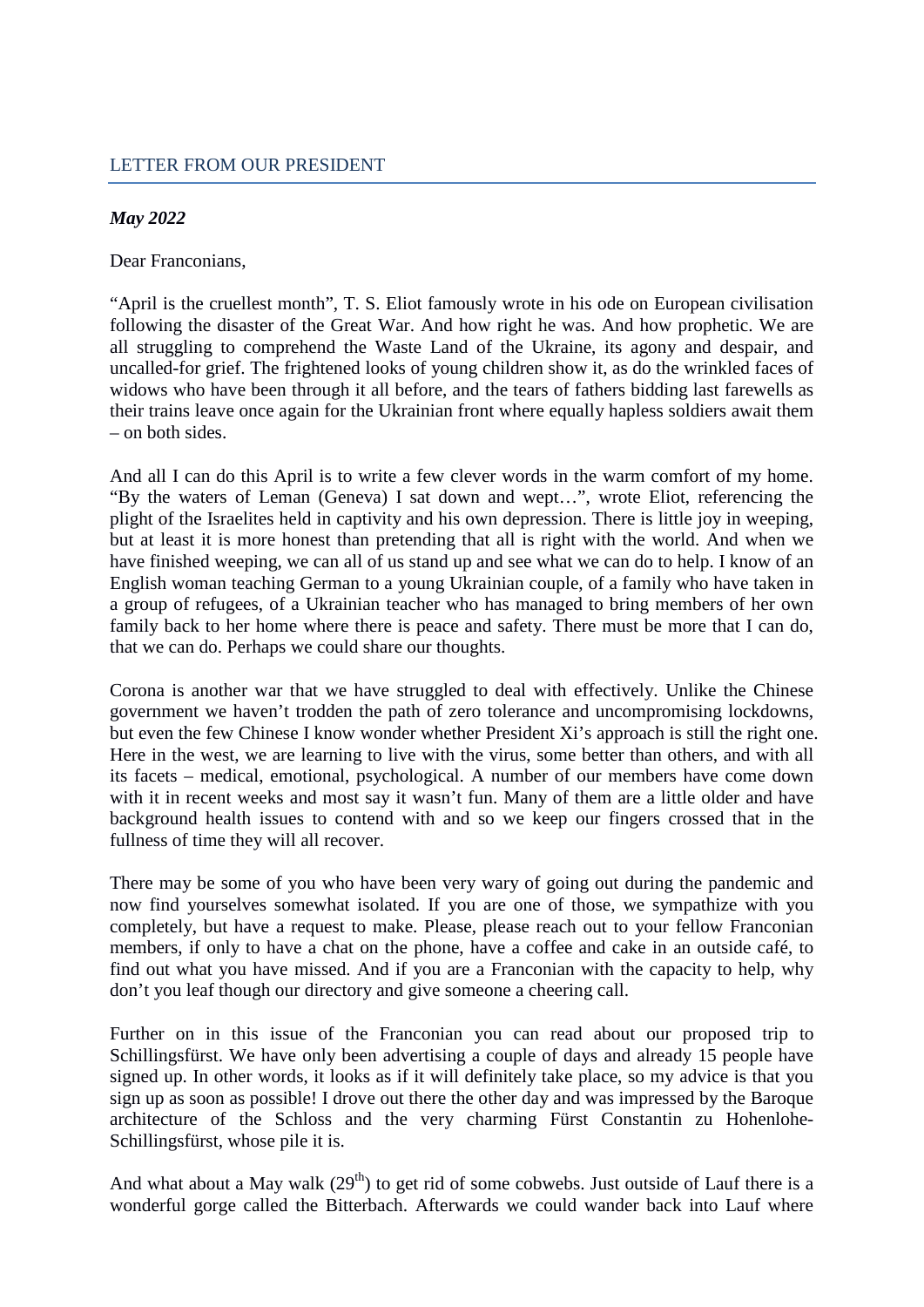## *May 2022*

Dear Franconians,

"April is the cruellest month", T. S. Eliot famously wrote in his ode on European civilisation following the disaster of the Great War. And how right he was. And how prophetic. We are all struggling to comprehend the Waste Land of the Ukraine, its agony and despair, and uncalled-for grief. The frightened looks of young children show it, as do the wrinkled faces of widows who have been through it all before, and the tears of fathers bidding last farewells as their trains leave once again for the Ukrainian front where equally hapless soldiers await them – on both sides.

And all I can do this April is to write a few clever words in the warm comfort of my home. "By the waters of Leman (Geneva) I sat down and wept…", wrote Eliot, referencing the plight of the Israelites held in captivity and his own depression. There is little joy in weeping, but at least it is more honest than pretending that all is right with the world. And when we have finished weeping, we can all of us stand up and see what we can do to help. I know of an English woman teaching German to a young Ukrainian couple, of a family who have taken in a group of refugees, of a Ukrainian teacher who has managed to bring members of her own family back to her home where there is peace and safety. There must be more that I can do, that we can do. Perhaps we could share our thoughts.

Corona is another war that we have struggled to deal with effectively. Unlike the Chinese government we haven't trodden the path of zero tolerance and uncompromising lockdowns, but even the few Chinese I know wonder whether President Xi's approach is still the right one. Here in the west, we are learning to live with the virus, some better than others, and with all its facets – medical, emotional, psychological. A number of our members have come down with it in recent weeks and most say it wasn't fun. Many of them are a little older and have background health issues to contend with and so we keep our fingers crossed that in the fullness of time they will all recover.

There may be some of you who have been very wary of going out during the pandemic and now find yourselves somewhat isolated. If you are one of those, we sympathize with you completely, but have a request to make. Please, please reach out to your fellow Franconian members, if only to have a chat on the phone, have a coffee and cake in an outside café, to find out what you have missed. And if you are a Franconian with the capacity to help, why don't you leaf though our directory and give someone a cheering call.

Further on in this issue of the Franconian you can read about our proposed trip to Schillingsfürst. We have only been advertising a couple of days and already 15 people have signed up. In other words, it looks as if it will definitely take place, so my advice is that you sign up as soon as possible! I drove out there the other day and was impressed by the Baroque architecture of the Schloss and the very charming Fürst Constantin zu Hohenlohe-Schillingsfürst, whose pile it is.

And what about a May walk  $(29<sup>th</sup>)$  to get rid of some cobwebs. Just outside of Lauf there is a wonderful gorge called the Bitterbach. Afterwards we could wander back into Lauf where